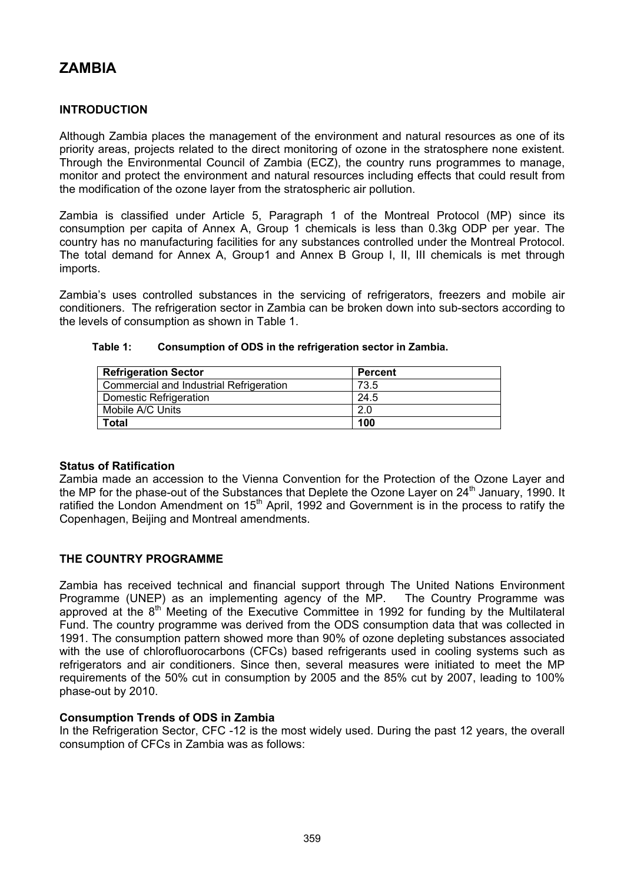# **ZAMBIA**

## **INTRODUCTION**

Although Zambia places the management of the environment and natural resources as one of its priority areas, projects related to the direct monitoring of ozone in the stratosphere none existent. Through the Environmental Council of Zambia (ECZ), the country runs programmes to manage, monitor and protect the environment and natural resources including effects that could result from the modification of the ozone layer from the stratospheric air pollution.

Zambia is classified under Article 5, Paragraph 1 of the Montreal Protocol (MP) since its consumption per capita of Annex A, Group 1 chemicals is less than 0.3kg ODP per year. The country has no manufacturing facilities for any substances controlled under the Montreal Protocol. The total demand for Annex A, Group1 and Annex B Group I, II, III chemicals is met through imports.

Zambia's uses controlled substances in the servicing of refrigerators, freezers and mobile air conditioners. The refrigeration sector in Zambia can be broken down into sub-sectors according to the levels of consumption as shown in Table 1.

| <b>Refrigeration Sector</b>             | Percent |
|-----------------------------------------|---------|
| Commercial and Industrial Refrigeration | 73.5    |
| Domestic Refrigeration                  | 24.5    |
| Mobile A/C Units                        | 2.0     |
| Total                                   | 100     |

#### **Table 1: Consumption of ODS in the refrigeration sector in Zambia.**

## **Status of Ratification**

Zambia made an accession to the Vienna Convention for the Protection of the Ozone Layer and the MP for the phase-out of the Substances that Deplete the Ozone Layer on 24<sup>th</sup> January, 1990. It ratified the London Amendment on 15<sup>th</sup> April, 1992 and Government is in the process to ratify the Copenhagen, Beijing and Montreal amendments.

## **THE COUNTRY PROGRAMME**

Zambia has received technical and financial support through The United Nations Environment Programme (UNEP) as an implementing agency of the MP. The Country Programme was approved at the 8<sup>th</sup> Meeting of the Executive Committee in 1992 for funding by the Multilateral Fund. The country programme was derived from the ODS consumption data that was collected in 1991. The consumption pattern showed more than 90% of ozone depleting substances associated with the use of chlorofluorocarbons (CFCs) based refrigerants used in cooling systems such as refrigerators and air conditioners. Since then, several measures were initiated to meet the MP requirements of the 50% cut in consumption by 2005 and the 85% cut by 2007, leading to 100% phase-out by 2010.

## **Consumption Trends of ODS in Zambia**

In the Refrigeration Sector, CFC -12 is the most widely used. During the past 12 years, the overall consumption of CFCs in Zambia was as follows: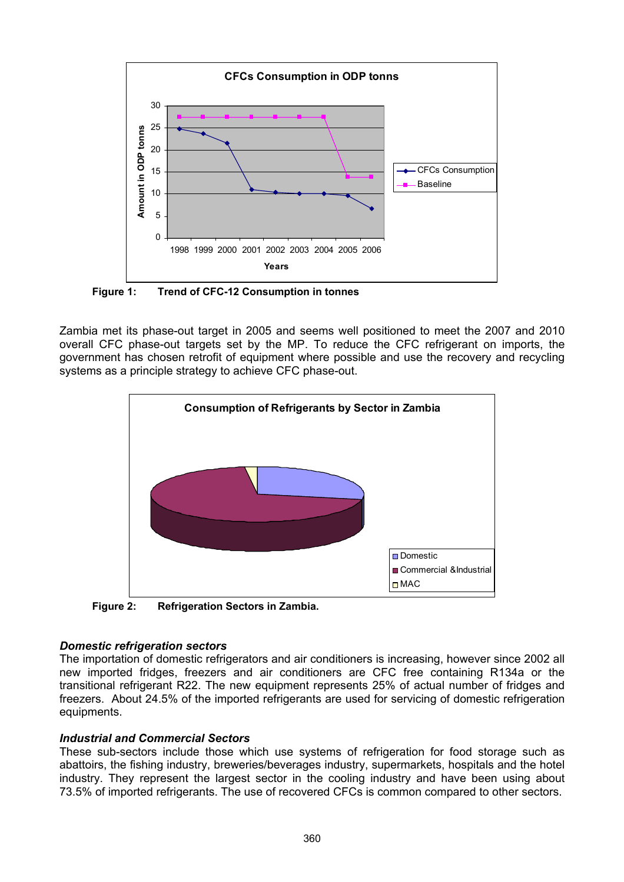

**Figure 1: Trend of CFC-12 Consumption in tonnes**

Zambia met its phase-out target in 2005 and seems well positioned to meet the 2007 and 2010 overall CFC phase-out targets set by the MP. To reduce the CFC refrigerant on imports, the government has chosen retrofit of equipment where possible and use the recovery and recycling systems as a principle strategy to achieve CFC phase-out.



**Figure 2: Refrigeration Sectors in Zambia.** 

## *Domestic refrigeration sectors*

The importation of domestic refrigerators and air conditioners is increasing, however since 2002 all new imported fridges, freezers and air conditioners are CFC free containing R134a or the transitional refrigerant R22. The new equipment represents 25% of actual number of fridges and freezers. About 24.5% of the imported refrigerants are used for servicing of domestic refrigeration equipments.

## *Industrial and Commercial Sectors*

These sub-sectors include those which use systems of refrigeration for food storage such as abattoirs, the fishing industry, breweries/beverages industry, supermarkets, hospitals and the hotel industry. They represent the largest sector in the cooling industry and have been using about 73.5% of imported refrigerants. The use of recovered CFCs is common compared to other sectors.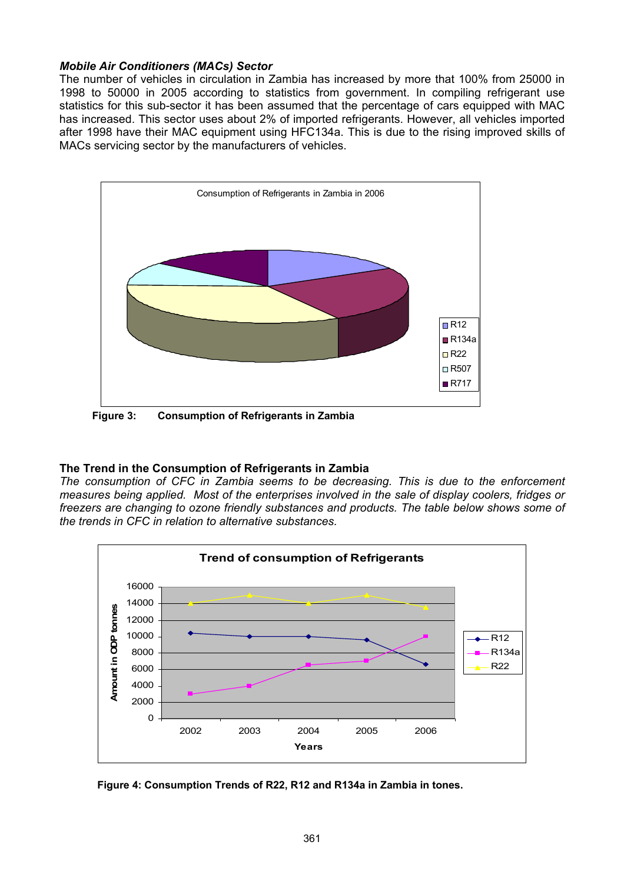#### *Mobile Air Conditioners (MACs) Sector*

The number of vehicles in circulation in Zambia has increased by more that 100% from 25000 in 1998 to 50000 in 2005 according to statistics from government. In compiling refrigerant use statistics for this sub-sector it has been assumed that the percentage of cars equipped with MAC has increased. This sector uses about 2% of imported refrigerants. However, all vehicles imported after 1998 have their MAC equipment using HFC134a. This is due to the rising improved skills of MACs servicing sector by the manufacturers of vehicles.



**Figure 3: Consumption of Refrigerants in Zambia** 

## **The Trend in the Consumption of Refrigerants in Zambia**

*The consumption of CFC in Zambia seems to be decreasing. This is due to the enforcement measures being applied. Most of the enterprises involved in the sale of display coolers, fridges or freezers are changing to ozone friendly substances and products. The table below shows some of the trends in CFC in relation to alternative substances.* 



 **Figure 4: Consumption Trends of R22, R12 and R134a in Zambia in tones.**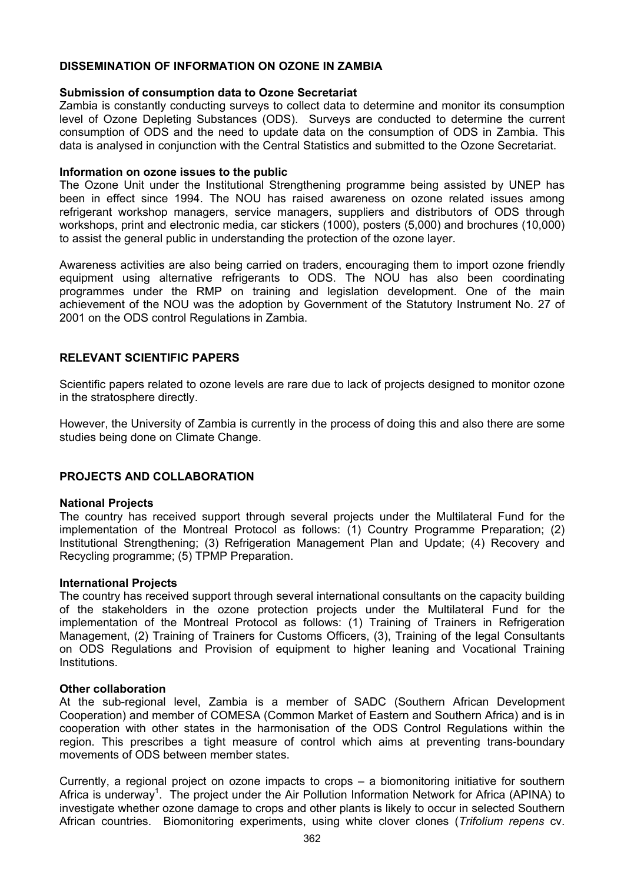### **DISSEMINATION OF INFORMATION ON OZONE IN ZAMBIA**

#### **Submission of consumption data to Ozone Secretariat**

Zambia is constantly conducting surveys to collect data to determine and monitor its consumption level of Ozone Depleting Substances (ODS). Surveys are conducted to determine the current consumption of ODS and the need to update data on the consumption of ODS in Zambia. This data is analysed in conjunction with the Central Statistics and submitted to the Ozone Secretariat.

#### **Information on ozone issues to the public**

The Ozone Unit under the Institutional Strengthening programme being assisted by UNEP has been in effect since 1994. The NOU has raised awareness on ozone related issues among refrigerant workshop managers, service managers, suppliers and distributors of ODS through workshops, print and electronic media, car stickers (1000), posters (5,000) and brochures (10,000) to assist the general public in understanding the protection of the ozone layer.

Awareness activities are also being carried on traders, encouraging them to import ozone friendly equipment using alternative refrigerants to ODS. The NOU has also been coordinating programmes under the RMP on training and legislation development. One of the main achievement of the NOU was the adoption by Government of the Statutory Instrument No. 27 of 2001 on the ODS control Regulations in Zambia.

## **RELEVANT SCIENTIFIC PAPERS**

Scientific papers related to ozone levels are rare due to lack of projects designed to monitor ozone in the stratosphere directly.

However, the University of Zambia is currently in the process of doing this and also there are some studies being done on Climate Change.

## **PROJECTS AND COLLABORATION**

#### **National Projects**

The country has received support through several projects under the Multilateral Fund for the implementation of the Montreal Protocol as follows: (1) Country Programme Preparation; (2) Institutional Strengthening; (3) Refrigeration Management Plan and Update; (4) Recovery and Recycling programme; (5) TPMP Preparation.

#### **International Projects**

The country has received support through several international consultants on the capacity building of the stakeholders in the ozone protection projects under the Multilateral Fund for the implementation of the Montreal Protocol as follows: (1) Training of Trainers in Refrigeration Management, (2) Training of Trainers for Customs Officers, (3), Training of the legal Consultants on ODS Regulations and Provision of equipment to higher leaning and Vocational Training **Institutions** 

#### **Other collaboration**

At the sub-regional level, Zambia is a member of SADC (Southern African Development Cooperation) and member of COMESA (Common Market of Eastern and Southern Africa) and is in cooperation with other states in the harmonisation of the ODS Control Regulations within the region. This prescribes a tight measure of control which aims at preventing trans-boundary movements of ODS between member states.

Currently, a regional project on ozone impacts to crops – a biomonitoring initiative for southern Africa is underway<sup>1</sup>. The project under the Air Pollution Information Network for Africa (APINA) to investigate whether ozone damage to crops and other plants is likely to occur in selected Southern African countries. Biomonitoring experiments, using white clover clones (*Trifolium repens* cv.